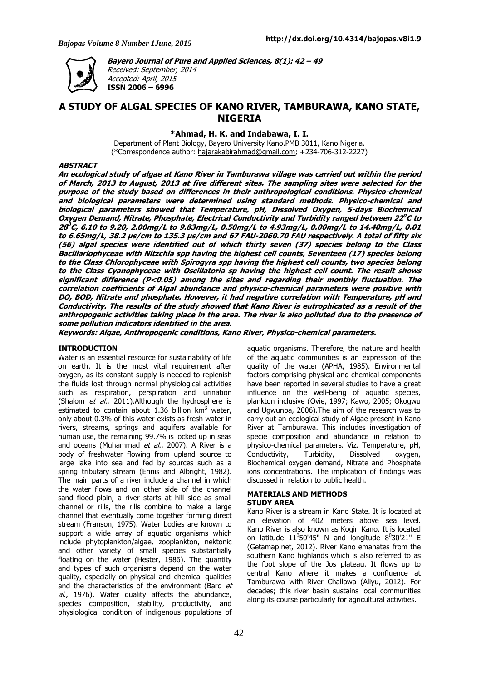

**Bayero Journal of Pure and Applied Sciences, 8(1): 42 – 49** 

Received: September, 2014 Accepted: April, 2015 **ISSN 2006 – 6996** 

# **A STUDY OF ALGAL SPECIES OF KANO RIVER, TAMBURAWA, KANO STATE, NIGERIA**

**\*Ahmad, H. K. and Indabawa, I. I.** 

Department of Plant Biology, Bayero University Kano.PMB 3011, Kano Nigeria. (\*Correspondence author: hajarakabirahmad@gmail.com; +234-706-312-2227)

### **ABSTRACT**

**An ecological study of algae at Kano River in Tamburawa village was carried out within the period of March, 2013 to August, 2013 at five different sites. The sampling sites were selected for the purpose of the study based on differences in their anthropological conditions. Physico-chemical and biological parameters were determined using standard methods. Physico-chemical and biological parameters showed that Temperature, pH, Dissolved Oxygen, 5-days Biochemical Oxygen Demand, Nitrate, Phosphate, Electrical Conductivity and Turbidity ranged between 22 <sup>0</sup>C to 28 <sup>0</sup>C, 6.10 to 9.20, 2.00mg/L to 9.83mg/L, 0.50mg/L to 4.93mg/L, 0.00mg/L to 14.40mg/L, 0.01 to 6.65mg/L, 38.2 µs/cm to 135.3 µs/cm and 67 FAU-2060.70 FAU respectively. A total of fifty six (56) algal species were identified out of which thirty seven (37) species belong to the Class Bacillariophyceae with Nitzchia spp having the highest cell counts, Seventeen (17) species belong to the Class Chlorophyceae with Spirogyra spp having the highest cell counts, two species belong to the Class Cyanophyceae with Oscillatoria sp having the highest cell count. The result shows significant difference (P<0.05) among the sites and regarding their monthly fluctuation. The correlation coefficients of Algal abundance and physico-chemical parameters were positive with DO, BOD, Nitrate and phosphate. However, it had negative correlation with Temperature, pH and Conductivity. The results of the study showed that Kano River is eutrophicated as a result of the anthropogenic activities taking place in the area. The river is also polluted due to the presence of some pollution indicators identified in the area.** 

**Keywords: Algae, Anthropogenic conditions, Kano River, Physico-chemical parameters.** 

### **INTRODUCTION**

Water is an essential resource for sustainability of life on earth. It is the most vital requirement after oxygen, as its constant supply is needed to replenish the fluids lost through normal physiological activities such as respiration, perspiration and urination (Shalom et al., 2011). Although the hydrosphere is estimated to contain about 1.36 billion  $km^3$  water, only about 0.3% of this water exists as fresh water in rivers, streams, springs and aquifers available for human use, the remaining 99.7% is locked up in seas and oceans (Muhammad et al., 2007). A River is a body of freshwater flowing from upland source to large lake into sea and fed by sources such as a spring tributary stream (Ennis and Albright, 1982). The main parts of a river include a channel in which the water flows and on other side of the channel sand flood plain, a river starts at hill side as small channel or rills, the rills combine to make a large channel that eventually come together forming direct stream (Franson, 1975). Water bodies are known to support a wide array of aquatic organisms which include phytoplankton/algae, zooplankton, nektonic and other variety of small species substantially floating on the water (Hester, 1986). The quantity and types of such organisms depend on the water quality, especially on physical and chemical qualities and the characteristics of the environment (Bard et  $al.$ , 1976). Water quality affects the abundance, species composition, stability, productivity, and physiological condition of indigenous populations of

aquatic organisms. Therefore, the nature and health of the aquatic communities is an expression of the quality of the water (APHA, 1985). Environmental factors comprising physical and chemical components have been reported in several studies to have a great influence on the well-being of aquatic species, plankton inclusive (Ovie, 1997; Kawo, 2005; Okogwu and Ugwunba, 2006).The aim of the research was to carry out an ecological study of Algae present in Kano River at Tamburawa. This includes investigation of specie composition and abundance in relation to physico-chemical parameters. Viz. Temperature, pH, Conductivity, Turbidity, Dissolved oxygen, Biochemical oxygen demand, Nitrate and Phosphate ions concentrations. The implication of findings was discussed in relation to public health.

### **MATERIALS AND METHODS STUDY AREA**

Kano River is a stream in Kano State. It is located at an elevation of 402 meters above sea level. Kano River is also known as Kogin Kano. It is located on latitude  $11^050'45''$  N and longitude  $8^030'21''$  E (Getamap.net, 2012). River Kano emanates from the southern Kano highlands which is also referred to as the foot slope of the Jos plateau. It flows up to central Kano where it makes a confluence at Tamburawa with River Challawa (Aliyu, 2012). For decades; this river basin sustains local communities along its course particularly for agricultural activities.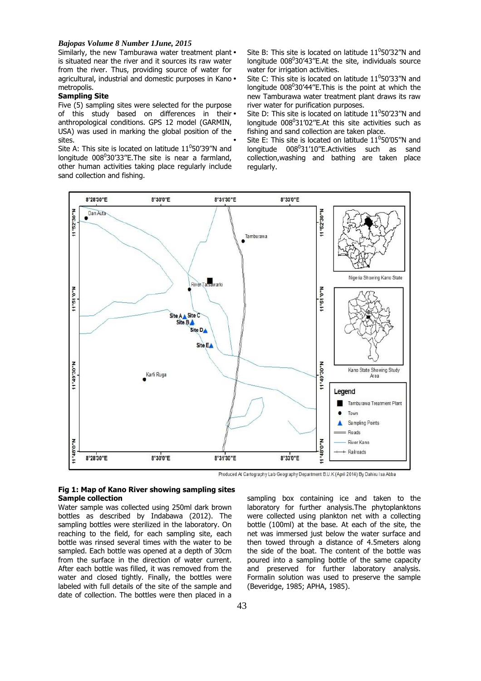Similarly, the new Tamburawa water treatment plant. is situated near the river and it sources its raw water from the river. Thus, providing source of water for agricultural, industrial and domestic purposes in Kano. metropolis.

## **Sampling Site**

Five (5) sampling sites were selected for the purpose of this study based on differences in their. anthropological conditions. GPS 12 model (GARMIN, USA) was used in marking the global position of the sites.

Site A: This site is located on latitude  $11^0$ 50'39"N and longitude 008<sup>0</sup>30'33"E. The site is near a farmland, other human activities taking place regularly include sand collection and fishing.

• Site B: This site is located on latitude  $11^050'32''N$  and longitude  $008^030'43''$ E.At the site, individuals source water for irrigation activities.

• Site C: This site is located on latitude  $11^050'33''N$  and longitude 008<sup>0</sup>30'44"E. This is the point at which the new Tamburawa water treatment plant draws its raw river water for purification purposes.

• Site D: This site is located on latitude  $11^050'23''N$  and longitude  $008^031'02''$ E.At this site activities such as fishing and sand collection are taken place.

• Site E: This site is located on latitude  $11^050'05''N$  and longitude 008<sup>0</sup>31'10"E.Activities such as sand collection,washing and bathing are taken place regularly.



Produced At Cartography Lab Geography Department B.U.K (April 2014) By Dahiru Isa Abba

### **Fig 1: Map of Kano River showing sampling sites Sample collection**

Water sample was collected using 250ml dark brown bottles as described by Indabawa (2012). The sampling bottles were sterilized in the laboratory. On reaching to the field, for each sampling site, each bottle was rinsed several times with the water to be sampled. Each bottle was opened at a depth of 30cm from the surface in the direction of water current. After each bottle was filled, it was removed from the water and closed tightly. Finally, the bottles were labeled with full details of the site of the sample and date of collection. The bottles were then placed in a

sampling box containing ice and taken to the laboratory for further analysis.The phytoplanktons were collected using plankton net with a collecting bottle (100ml) at the base. At each of the site, the net was immersed just below the water surface and then towed through a distance of 4.5meters along the side of the boat. The content of the bottle was poured into a sampling bottle of the same capacity and preserved for further laboratory analysis. Formalin solution was used to preserve the sample (Beveridge, 1985; APHA, 1985).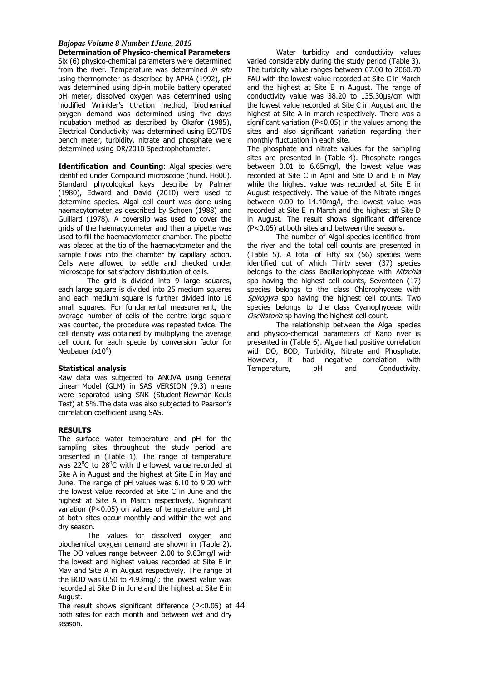**Determination of Physico-chemical Parameters**  Six (6) physico-chemical parameters were determined from the river. Temperature was determined in situ using thermometer as described by APHA (1992), pH was determined using dip-in mobile battery operated pH meter, dissolved oxygen was determined using modified Wrinkler's titration method, biochemical oxygen demand was determined using five days incubation method as described by Okafor (1985), Electrical Conductivity was determined using EC/TDS bench meter, turbidity, nitrate and phosphate were determined using DR/2010 Spectrophotometer.

**Identification and Counting**: Algal species were identified under Compound microscope (hund, H600). Standard phycological keys describe by Palmer (1980), Edward and David (2010) were used to determine species. Algal cell count was done using haemacytometer as described by Schoen (1988) and Guillard (1978). A coverslip was used to cover the grids of the haemacytometer and then a pipette was used to fill the haemacytometer chamber. The pipette was placed at the tip of the haemacytometer and the sample flows into the chamber by capillary action. Cells were allowed to settle and checked under microscope for satisfactory distribution of cells.

The grid is divided into 9 large squares, each large square is divided into 25 medium squares and each medium square is further divided into 16 small squares. For fundamental measurement, the average number of cells of the centre large square was counted, the procedure was repeated twice. The cell density was obtained by multiplying the average cell count for each specie by conversion factor for Neubauer  $(x10^4)$ 

## **Statistical analysis**

Raw data was subjected to ANOVA using General Linear Model (GLM) in SAS VERSION (9.3) means were separated using SNK (Student-Newman-Keuls Test) at 5%.The data was also subjected to Pearson's correlation coefficient using SAS.

### **RESULTS**

The surface water temperature and pH for the sampling sites throughout the study period are presented in (Table 1). The range of temperature was  $22^{\circ}$ C to  $28^{\circ}$ C with the lowest value recorded at Site A in August and the highest at Site E in May and June. The range of pH values was 6.10 to 9.20 with the lowest value recorded at Site C in June and the highest at Site A in March respectively. Significant variation (P<0.05) on values of temperature and pH at both sites occur monthly and within the wet and dry season.

The values for dissolved oxygen and biochemical oxygen demand are shown in (Table 2). The DO values range between 2.00 to 9.83mg/l with the lowest and highest values recorded at Site E in May and Site A in August respectively. The range of the BOD was 0.50 to 4.93mg/l; the lowest value was recorded at Site D in June and the highest at Site E in August.

The result shows significant difference (P<0.05) at  $44$ both sites for each month and between wet and dry season.

Water turbidity and conductivity values varied considerably during the study period (Table 3). The turbidity value ranges between 67.00 to 2060.70 FAU with the lowest value recorded at Site C in March and the highest at Site E in August. The range of conductivity value was 38.20 to 135.30µs/cm with the lowest value recorded at Site C in August and the highest at Site A in march respectively. There was a significant variation (P<0.05) in the values among the sites and also significant variation regarding their monthly fluctuation in each site.

The phosphate and nitrate values for the sampling sites are presented in (Table 4). Phosphate ranges between 0.01 to 6.65mg/l, the lowest value was recorded at Site C in April and Site D and E in May while the highest value was recorded at Site E in August respectively. The value of the Nitrate ranges between 0.00 to 14.40mg/l, the lowest value was recorded at Site E in March and the highest at Site D in August. The result shows significant difference (P<0.05) at both sites and between the seasons.

The number of Algal species identified from the river and the total cell counts are presented in (Table 5). A total of Fifty six (56) species were identified out of which Thirty seven (37) species belongs to the class Bacillariophyceae with Nitzchia spp having the highest cell counts, Seventeen (17) species belongs to the class Chlorophyceae with Spirogyra spp having the highest cell counts. Two species belongs to the class Cyanophyceae with Oscillatoria sp having the highest cell count.

The relationship between the Algal species and physico-chemical parameters of Kano river is presented in (Table 6). Algae had positive correlation with DO, BOD, Turbidity, Nitrate and Phosphate. However, it had negative correlation with<br>Temperature. pH and Conductivity. Temperature, pH and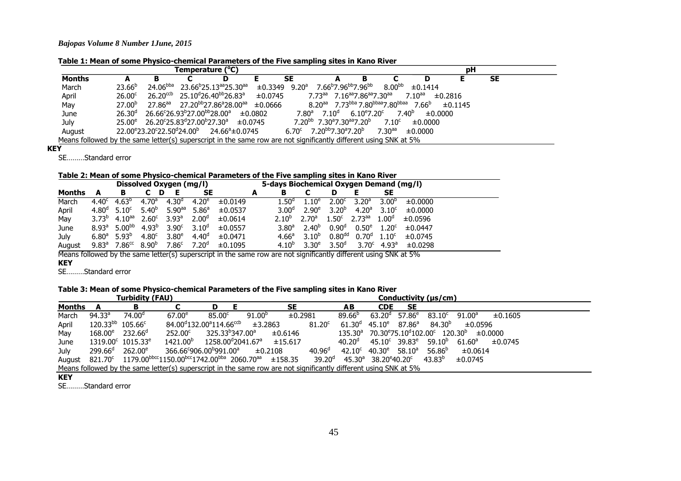**Table 1: Mean of some Physico-chemical Parameters of the Five sampling sites in Kano River** 

| Temperature (°C) |                                                                                                                  |                                                                 |  |                                                            |         |                   |                                                                           |                              |                   | рH                           |         |           |  |  |  |
|------------------|------------------------------------------------------------------------------------------------------------------|-----------------------------------------------------------------|--|------------------------------------------------------------|---------|-------------------|---------------------------------------------------------------------------|------------------------------|-------------------|------------------------------|---------|-----------|--|--|--|
| <b>Months</b>    |                                                                                                                  |                                                                 |  |                                                            |         | <b>SE</b>         |                                                                           |                              |                   |                              |         | <b>SE</b> |  |  |  |
| March            | $23.66^{b}$                                                                                                      | $24.06^{bba}$                                                   |  | 23.66 <sup>b</sup> 25.13 <sup>aa</sup> 25.30 <sup>aa</sup> | ±0.3349 | $9.20^{\rm a}$    | 7.66 <sup>b</sup> 7.96 <sup>bb</sup> 7.96 <sup>bb</sup>                   |                              | $8.00^{bb}$       | ±0.1414                      |         |           |  |  |  |
| April            | $26.00^{\circ}$                                                                                                  | $26.20^{ccb}$                                                   |  | 25.10 <sup>d</sup> 26.40 <sup>bb</sup> 26.83 <sup>a</sup>  | ±0.0745 |                   | $7.73aa$ $7.16aa$ $7.86aa$ $7.30aa$                                       |                              |                   | $7.10^{aa}$                  | ±0.2816 |           |  |  |  |
| May              | 27.00 <sup>b</sup>                                                                                               | $27.86^{aa}$                                                    |  | 27.20 <sup>bb</sup> 27.86ª28.00 <sup>aa</sup>              | ±0.0666 |                   | $8.20^{aa}$ 7.73bba 7.80bbaa7.80bbaa                                      |                              |                   | 7.66 <sup>b</sup>            | ±0.1145 |           |  |  |  |
| June             | 26.30 <sup>d</sup>                                                                                               | 26.66°26.93 <sup>b</sup> 27.00 <sup>bb</sup> 28.00 <sup>a</sup> |  |                                                            | ±0.0802 | 7.80 <sup>a</sup> | 7.10 <sup>d</sup>                                                         | $6.10^{e}$ 7.20 <sup>c</sup> |                   | 7.40 <sup>b</sup><br>±0.0000 |         |           |  |  |  |
| July             | $25.00^e$                                                                                                        | 26.20°25.83ª27.00 <sup>b</sup> 27.30ª                           |  |                                                            | ±0.0745 |                   | 7.20 <sup>bb</sup> 7.30 <sup>a</sup> 7.30 <sup>aa</sup> 7.20 <sup>b</sup> |                              | 7.10 <sup>c</sup> | ±0.0000                      |         |           |  |  |  |
| August           |                                                                                                                  | $22.00^{\circ}23.20^{\circ}22.50^{\circ}24.00^{\circ}$          |  | 24.66ª±0.0745                                              |         |                   | $6.70^{\circ}$ 7.20 <sup>bb</sup> 7.30 <sup>a</sup> 7.20 <sup>b</sup>     |                              | $7.30^{aa}$       | ±0.0000                      |         |           |  |  |  |
|                  | Means followed by the same letter(s) superscript in the same row are not significantly different using SNK at 5% |                                                                 |  |                                                            |         |                   |                                                                           |                              |                   |                              |         |           |  |  |  |

### **KEY**

SE………Standard error

**Table 2: Mean of some Physico-chemical Parameters of the Five sampling sites in Kano River** 

|        | Dissolved Oxygen (mg/l) |                                  |                   |                      |                   |         |   |  |                   | 5-days Biochemical Oxygen Demand (mg/l) |                    |                      |                                  |         |  |  |  |
|--------|-------------------------|----------------------------------|-------------------|----------------------|-------------------|---------|---|--|-------------------|-----------------------------------------|--------------------|----------------------|----------------------------------|---------|--|--|--|
| Months |                         | в                                | D                 |                      | SE                |         | А |  | в                 |                                         | D                  |                      | SE                               |         |  |  |  |
| March  | 4.40 <sup>c</sup>       | $4.63^{\circ}$                   | $4.70^a$          | $4.30^{\circ}$       | 4.20 <sup>e</sup> | ±0.0149 |   |  | $1.50^{\circ}$    | $1.10^{e}$                              | 2.00 <sup>c</sup>  | 3.20 <sup>a</sup>    | 3.00 <sup>b</sup>                | ±0.0000 |  |  |  |
| April  | 4.80 <sup>d</sup>       | 5.10 <sup>c</sup>                | $5.40^{b}$        | $5.90$ <sup>aa</sup> | 5.86 <sup>a</sup> | ±0.0537 |   |  | 3.00 <sup>a</sup> | $2.90^e$                                | $3.20^{b}$         | 4.20 <sup>a</sup>    | $3.10^{c}$                       | ±0.0000 |  |  |  |
| May    | $3.73^{b}$              | $4.10^{aa}$                      | $2.60^{\circ}$    | $3.93^{\circ}$       | 2.00 <sup>d</sup> | ±0.0614 |   |  | $2.10^{p}$        | 2.70 <sup>a</sup>                       | 1.50 <sup>c</sup>  | $2.73$ <sup>aa</sup> | 1.00 <sup>d</sup>                | ±0.0596 |  |  |  |
| June   |                         | $8.93^a$ 5.00 <sup>bb</sup>      | 4.93 <sup>b</sup> | 3.90 <sup>c</sup>    | $3.10^{d}$        | ±0.0557 |   |  | $3.80^{\circ}$    | $2.40^{b}$                              | 0.90 <sup>d</sup>  | $0.50^e$             | 1.20 <sup>c</sup>                | ±0.0447 |  |  |  |
| July   |                         | $6.80^{\circ}$ 5.93 <sup>b</sup> | 4.80 <sup>c</sup> | 3.80 <sup>e</sup>    | 4.40 <sup>d</sup> | ±0.0471 |   |  | 4.66 <sup>a</sup> | $3.10^{p}$                              | 0.80 <sup>dd</sup> | 0.70 <sup>d</sup>    | 1.10 <sup>c</sup>                | ±0.0745 |  |  |  |
| August | $9.83^{\circ}$          | 7.86 <sup>cc</sup>               | $8.90^{b}$        | 7.86 <sup>c</sup>    | 7.20 <sup>°</sup> | ±0.1095 |   |  | $4.10^{p}$        | $3.30^e$                                | 3.50 <sup>d</sup>  |                      | $3.70^{\circ}$ 4.93 <sup>a</sup> | ±0.0298 |  |  |  |

Means followed by the same letter(s) superscript in the same row are not significantly different using SNK at 5%

## **KEY**

SE………Standard error

## **Table 3: Mean of some Physico-chemical Parameters of the Five sampling sites in Kano River**

|             |                                                                                                                  | <b>Turbidity (FAU)</b>                 |                                                                                                                                     |                               |                    | Conductivity (µs/cm) |                    |                    |                                                 |                  |                                                                |                      |         |  |  |
|-------------|------------------------------------------------------------------------------------------------------------------|----------------------------------------|-------------------------------------------------------------------------------------------------------------------------------------|-------------------------------|--------------------|----------------------|--------------------|--------------------|-------------------------------------------------|------------------|----------------------------------------------------------------|----------------------|---------|--|--|
| Months      | A                                                                                                                | В                                      |                                                                                                                                     |                               |                    | <b>SE</b>            |                    | AB                 | <b>CDE</b>                                      | <b>SE</b>        |                                                                |                      |         |  |  |
| March       | 94.33 <sup>a</sup>                                                                                               | 74.00 <sup>d</sup>                     | $67.00^e$                                                                                                                           | 85.00 <sup>c</sup>            | 91.00 <sup>b</sup> | ±0.2981              |                    | $89.66^{b}$        | 63.20 <sup>d</sup>                              | 57.86 $^{\circ}$ | $83.10^{\circ}$                                                | $91.00^{\rm a}$      | ±0.1605 |  |  |
| April       | $120.33^{bb}$ $105.66^c$                                                                                         |                                        | 84.00 <sup>d</sup> 132.00 <sup>a</sup> 114.66 <sup>ccb</sup>                                                                        |                               | ±3.2863            |                      | 81.20 <sup>c</sup> | 61.30 <sup>d</sup> | $45.10^e$                                       | $87.86^a$        | 84.30 <sup>b</sup>                                             | ±0.0596              |         |  |  |
| May         | $168.00^e$ 232.66 <sup>d</sup>                                                                                   |                                        | $252.00^{\circ}$                                                                                                                    | 325.33 <sup>b</sup> 347.00ª   |                    | ±0.6146              |                    | $135.30^a$         |                                                 |                  | $70.30^{\rm e}75.10^{\rm d}102.00^{\rm c}$ 120.30 <sup>b</sup> |                      | ±0.0000 |  |  |
| June        |                                                                                                                  | $1319.00^{\circ}$ 1015.33 <sup>e</sup> | 1421.00 <sup>b</sup>                                                                                                                | 1258.00 <sup>d</sup> 2041.67ª |                    | ±15.617              |                    | 40.20 <sup>d</sup> | $45.10^{\circ}$ 39.83 $^{\circ}$                |                  | $59.10^{b}$                                                    | $61.60^{\mathrm{a}}$ | ±0.0745 |  |  |
| <b>July</b> | $299.66^{\circ}$ 262.00 <sup>e</sup>                                                                             |                                        | 366.66°906.00 <sup>b</sup> 991.00 <sup>a</sup>                                                                                      |                               | ±0.2108            |                      | 40.96 <sup>d</sup> | $42.10^{\circ}$    | 40.30 $^{\rm e}$                                | $58.10^a$        | $56.86^{b}$                                                    | ±0.0614              |         |  |  |
|             |                                                                                                                  |                                        | August 821.70 <sup>c</sup> 1179.00 <sup>bbcc</sup> 1150.00 <sup>bcc</sup> 1742.00 <sup>bba</sup> 2060.70 <sup>aa</sup> $\pm$ 158.35 |                               |                    |                      | 39.20 <sup>d</sup> |                    | $45.30^a$ 38.20 <sup>e</sup> 40.20 <sup>c</sup> |                  | 43.83 <sup>b</sup>                                             | ±0.0745              |         |  |  |
|             | Means followed by the same letter(s) superscript in the same row are not significantly different using SNK at 5% |                                        |                                                                                                                                     |                               |                    |                      |                    |                    |                                                 |                  |                                                                |                      |         |  |  |

#### **KEY**

SE………Standard error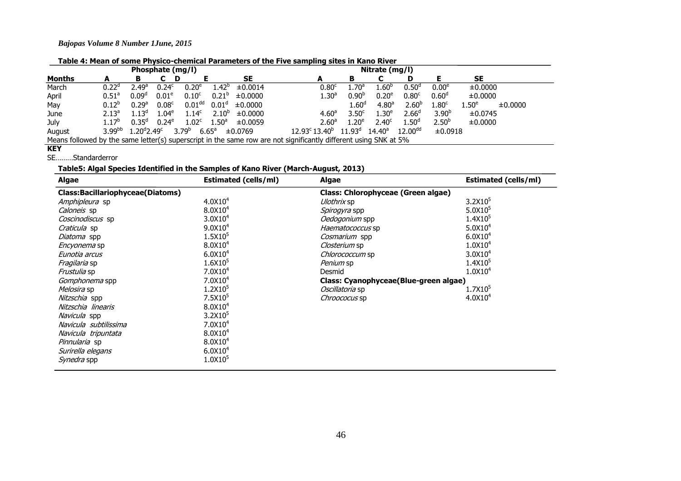**Table 4: Mean of some Physico-chemical Parameters of the Five sampling sites in Kano River** 

| Phosphate (mg/l)                                                                                                 |                   |                                |                   |                              |                   |           |  | Nitrate (mg/l)                |                   |                    |                   |                     |                   |                  |         |  |
|------------------------------------------------------------------------------------------------------------------|-------------------|--------------------------------|-------------------|------------------------------|-------------------|-----------|--|-------------------------------|-------------------|--------------------|-------------------|---------------------|-------------------|------------------|---------|--|
| <b>Months</b>                                                                                                    |                   |                                | D                 |                              |                   | <b>SE</b> |  | А                             |                   | в                  |                   |                     |                   | <b>SE</b>        |         |  |
| March                                                                                                            | $0.22^d$          | $-49^\circ$ .                  | 0.24 <sup>c</sup> | 0.20 <sup>e</sup>            | $1.42^{b}$        | ±0.0014   |  |                               | $0.80^{\circ}$    | $1.70^{\rm a}$     | $1.60^{\rm b}$    | $0.50^{\circ}$      | 0.00 <sup>e</sup> | ±0.0000          |         |  |
| April                                                                                                            | 0.51 <sup>a</sup> | 0.09 <sup>d</sup>              | 0.01 <sup>e</sup> | 0.10 <sup>c</sup>            | $0.21^{b}$        | ±0.0000   |  |                               | $1.30^{a}$        | 0.90 <sup>b</sup>  | 0.20 <sup>e</sup> | 0.80 <sup>c</sup>   | 0.60 <sup>d</sup> | ±0.0000          |         |  |
| May                                                                                                              | $0.12^{b}$        | 0.29 <sup>a</sup>              | 0.08 <sup>c</sup> | 0.01 <sup>dd</sup>           | 0.01 <sup>d</sup> | ±0.0000   |  |                               |                   | $1.60^{\rm d}$     | 4.80 <sup>a</sup> | 2.60 <sup>b</sup>   | 1.80 <sup>c</sup> | $.50^\mathrm{e}$ | ±0.0000 |  |
| June                                                                                                             | 2.13 <sup>a</sup> | $1.13^{d}$                     | $1.04^\mathrm{e}$ | 1.14 <sup>c</sup>            | $2.10^{b}$        | ±0.0000   |  |                               | 4.60 <sup>a</sup> | 3.50 <sup>c</sup>  | 1.30 <sup>e</sup> | 2.66 <sup>d</sup>   | 3.90 <sup>b</sup> | ±0.0745          |         |  |
| July                                                                                                             | $1.17^{b}$        | $0.35^{\circ}$                 | $0.24^e$          | 1.02 <sup>c</sup>            | 1.50 <sup>a</sup> | ±0.0059   |  |                               | 2.60 <sup>a</sup> | $1.20^e$           | 2.40 <sup>c</sup> | 1.50 <sup>d</sup>   | 2.50 <sup>b</sup> | ±0.0000          |         |  |
| August                                                                                                           | $3.99^{bb}$       | $1.20^{\rm d}$ 2.49 $^{\rm c}$ |                   | $3.79^{b}$<br>$6.65^{\circ}$ |                   | ±0.0769   |  | $12.93^{\circ} 13.40^{\circ}$ |                   | 11.93 <sup>d</sup> | $14.40^{\circ}$   | 12.00 <sup>dd</sup> | ±0.0918           |                  |         |  |
| Means followed by the same letter(s) superscript in the same row are not significantly different using SNK at 5% |                   |                                |                   |                              |                   |           |  |                               |                   |                    |                   |                     |                   |                  |         |  |

## **KEY**

### SE………Standarderror

## **Table5: Algal Species Identified in the Samples of Kano River (March-August, 2013)**

| <b>Algae</b><br><b>Estimated (cells/ml)</b> |                     | Algae                                 | <b>Estimated (cells/ml)</b> |  |  |  |  |  |
|---------------------------------------------|---------------------|---------------------------------------|-----------------------------|--|--|--|--|--|
| <b>Class:Bacillariophyceae(Diatoms)</b>     |                     | Class: Chlorophyceae (Green algae)    |                             |  |  |  |  |  |
| <i>Amphipleura</i> sp                       | 4.0X10 <sup>4</sup> | <i>Ulothrix</i> sp                    | $3.2$ X $105$               |  |  |  |  |  |
| Caloneis sp                                 | 8.0X10 <sup>4</sup> | Spirogyra spp                         | 5.0X10 <sup>5</sup>         |  |  |  |  |  |
| Coscinodiscus sp                            | $3.0X10^{4}$        | Oedogonium spp                        | 1.4X10 <sup>5</sup>         |  |  |  |  |  |
| Craticula sp                                | 9.0X10 <sup>4</sup> | Haematococcus sp                      | 5.0X10 <sup>4</sup>         |  |  |  |  |  |
| Diatoma spp                                 | 1.5X10 <sup>5</sup> | Cosmarium spp                         | 6.0X10 <sup>4</sup>         |  |  |  |  |  |
| <i>Encyonema</i> sp                         | 8.0X10 <sup>4</sup> | <i>Closterium</i> sp                  | 1.0X10 <sup>4</sup>         |  |  |  |  |  |
| Eunotia arcus                               | 6.0X10 <sup>4</sup> | Chlorococcum sp                       | 3.0X10 <sup>4</sup>         |  |  |  |  |  |
| Fragilaria sp                               | $1.6X10^{5}$        | Penium sp                             | 1.4X10 <sup>5</sup>         |  |  |  |  |  |
| <i>Frustulia</i> sp                         | $7.0X10^4$          | Desmid                                | 1.0X10 <sup>4</sup>         |  |  |  |  |  |
| Gomphonema spp                              | $7.0X10^4$          | Class: Cyanophyceae(Blue-green algae) |                             |  |  |  |  |  |
| Melosira sp                                 | 1.2X10 <sup>5</sup> | <i>Oscillatoria</i> sp                | $1.7X10^{5}$                |  |  |  |  |  |
| Nitzschia spp                               | 7.5X10 <sup>5</sup> | <i>Chroococus</i> sp                  | 4.0X10 <sup>4</sup>         |  |  |  |  |  |
| Nitzschia linearis                          | 8.0X10 <sup>4</sup> |                                       |                             |  |  |  |  |  |
| Navicula spp                                | 3.2X10 <sup>5</sup> |                                       |                             |  |  |  |  |  |
| Navicula subtilissima                       | $7.0X10^4$          |                                       |                             |  |  |  |  |  |
| Navicula tripuntata                         | 8.0X10 <sup>4</sup> |                                       |                             |  |  |  |  |  |
| <i>Pinnularia</i> sp                        | 8.0X10 <sup>4</sup> |                                       |                             |  |  |  |  |  |
| Surirella elegans                           | 6.0X10 <sup>4</sup> |                                       |                             |  |  |  |  |  |
| <i>Synedra</i> spp                          | 1.0X10 <sup>5</sup> |                                       |                             |  |  |  |  |  |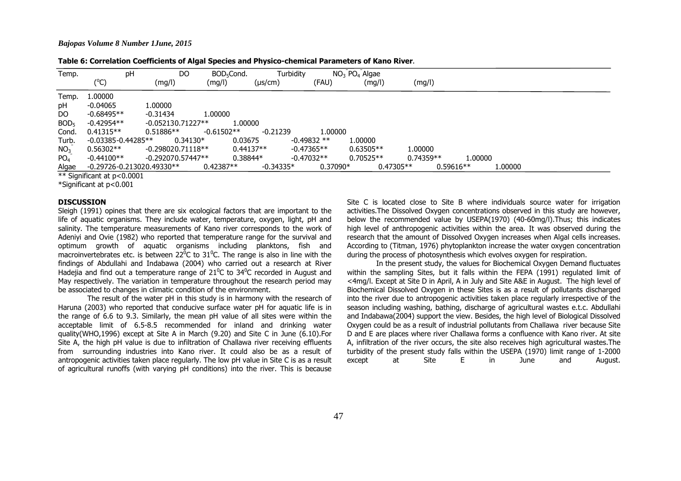| Table 6: Correlation Coefficients of Algal Species and Physico-chemical Parameters of Kano River. |  |  |  |  |
|---------------------------------------------------------------------------------------------------|--|--|--|--|
|---------------------------------------------------------------------------------------------------|--|--|--|--|

| Temp.            | pH                            | DO                  | BOD <sub>5</sub> Cond. | Turbidity    |              | $NO3$ $PO4$ Algae |             |         |         |  |
|------------------|-------------------------------|---------------------|------------------------|--------------|--------------|-------------------|-------------|---------|---------|--|
|                  | (°C)                          | (mg/l)              | (mg/l)                 | $(\mu s/cm)$ | (FAU)        | (mg/l)            | (mg/l)      |         |         |  |
| Temp.            | 1.00000                       |                     |                        |              |              |                   |             |         |         |  |
| рH               | $-0.04065$                    | 1.00000             |                        |              |              |                   |             |         |         |  |
| DO.              | $-0.68495**$                  | $-0.31434$          | 1.00000                |              |              |                   |             |         |         |  |
| BOD <sub>5</sub> | $-0.42954**$                  | $-0.052130.71227**$ | 1.00000                |              |              |                   |             |         |         |  |
| Cond.            | $0.41315**$                   | $0.51886**$         | $-0.61502**$           | $-0.21239$   | 1.00000      |                   |             |         |         |  |
| Turb.            | $-0.03385 - 0.44285**$        | $0.34130*$          | 0.03675                |              | $-0.49832**$ | 1.00000           |             |         |         |  |
| NO <sub>3</sub>  | $0.56302**$                   | $-0.298020.71118**$ | $0.44137**$            |              | $-0.47365**$ | $0.63505**$       | 1.00000     |         |         |  |
| PO <sub>4</sub>  | $-0.44100**$                  | $-0.292070.57447**$ | $0.38844*$             |              | $-0.47032**$ | $0.70525**$       | $0.74359**$ | 1.00000 |         |  |
| Algae            | $-0.29726 - 0.213020.49330**$ |                     | $0.42387**$            | $-0.34335*$  | $0.37090*$   | $0.47305**$       | $0.59616**$ |         | 1.00000 |  |
|                  | ** Significant at p<0.0001    |                     |                        |              |              |                   |             |         |         |  |

\*Significant at p<0.001

#### **DISCUSSION**

 Sleigh (1991) opines that there are six ecological factors that are important to the life of aquatic organisms. They include water, temperature, oxygen, light, pH and salinity. The temperature measurements of Kano river corresponds to the work of Adeniyi and Ovie (1982) who reported that temperature range for the survival and optimum growth of aquatic organisms including planktons, fish and macroinvertebrates etc. is between 22<sup>0</sup>C to 31<sup>0</sup>C. The range is also in line with the findings of Abdullahi and Indabawa (2004) who carried out a research at River Hadejia and find out a temperature range of 21<sup>0</sup>C to 34<sup>0</sup>C recorded in August and May respectively. The variation in temperature throughout the research period may be associated to changes in climatic condition of the environment.

 The result of the water pH in this study is in harmony with the research of Haruna (2003) who reported that conducive surface water pH for aquatic life is in the range of 6.6 to 9.3. Similarly, the mean pH value of all sites were within the acceptable limit of 6.5-8.5 recommended for inland and drinking water quality(WHO,1996) except at Site A in March (9.20) and Site C in June (6.10).For Site A, the high pH value is due to infiltration of Challawa river receiving effluents from surrounding industries into Kano river. It could also be as a result of antropogenic activities taken place regularly. The low pH value in Site C is as a result of agricultural runoffs (with varying pH conditions) into the river. This is because Site C is located close to Site B where individuals source water for irrigation activities.The Dissolved Oxygen concentrations observed in this study are however, below the recommended value by USEPA(1970) (40-60mg/l).Thus; this indicates high level of anthropogenic activities within the area. It was observed during the research that the amount of Dissolved Oxygen increases when Algal cells increases. According to (Titman, 1976) phytoplankton increase the water oxygen concentration during the process of photosynthesis which evolves oxygen for respiration.

 In the present study, the values for Biochemical Oxygen Demand fluctuates within the sampling Sites, but it falls within the FEPA (1991) regulated limit of <4mg/l. Except at Site D in April, A in July and Site A&E in August. The high level of Biochemical Dissolved Oxygen in these Sites is as a result of pollutants discharged into the river due to antropogenic activities taken place regularly irrespective of the season including washing, bathing, discharge of agricultural wastes e.t.c. Abdullahi and Indabawa(2004) support the view. Besides, the high level of Biological Dissolved Oxygen could be as a result of industrial pollutants from Challawa river because Site D and E are places where river Challawa forms a confluence with Kano river. At site A, infiltration of the river occurs, the site also receives high agricultural wastes.The turbidity of the present study falls within the USEPA (1970) limit range of 1-2000 August. except at Site E in June and August.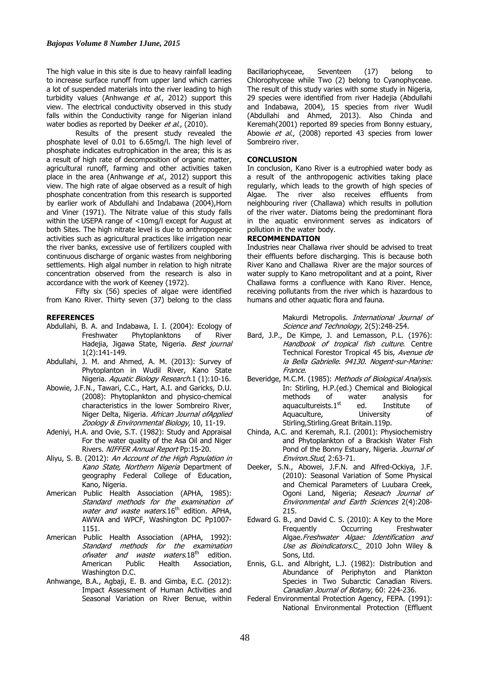The high value in this site is due to heavy rainfall leading to increase surface runoff from upper land which carries a lot of suspended materials into the river leading to high turbidity values (Anhwange et al., 2012) support this view. The electrical conductivity observed in this study falls within the Conductivity range for Nigerian inland water bodies as reported by Deeker et al., (2010).

Results of the present study revealed the phosphate level of 0.01 to 6.65mg/l. The high level of phosphate indicates eutrophication in the area; this is as a result of high rate of decomposition of organic matter, agricultural runoff, farming and other activities taken place in the area (Anhwange et al., 2012) support this view. The high rate of algae observed as a result of high phosphate concentration from this research is supported by earlier work of Abdullahi and Indabawa (2004),Horn and Viner (1971). The Nitrate value of this study falls within the USEPA range of <10mg/l except for August at both Sites. The high nitrate level is due to anthropogenic activities such as agricultural practices like irrigation near the river banks, excessive use of fertilizers coupled with continuous discharge of organic wastes from neighboring settlements. High algal number in relation to high nitrate concentration observed from the research is also in accordance with the work of Keeney (1972).

Fifty six (56) species of algae were identified from Kano River. Thirty seven (37) belong to the class

### **REFERENCES**

- Abdullahi, B. A. and Indabawa, I. I. (2004): Ecology of Freshwater Phytoplanktons of River Hadejia, Jigawa State, Nigeria. Best journal 1(2):141-149.
- Abdullahi, J. M. and Ahmed, A. M. (2013): Survey of Phytoplanton in Wudil River, Kano State Nigeria. Aquatic Biology Research.1 (1):10-16.
- Abowie, J.F.N., Tawari, C.C., Hart, A.I. and Garicks, D.U. (2008): Phytoplankton and physico-chemical characteristics in the lower Sombreiro River, Niger Delta, Nigeria. African Journal of Applied Zoology & Environmental Biology, 10, 11-19.
- Adeniyi, H.A. and Ovie, S.T. (1982): Study and Appraisal For the water quality of the Asa Oil and Niger Rivers. NIFFER Annual Report Pp:15-20.
- Aliyu, S. B. (2012): An Account of the High Population in Kano State, Northern Nigeria Department of geography Federal College of Education, Kano, Nigeria.
- American Public Health Association (APHA, 1985): Standard methods for the examination of water and waste waters.  $16<sup>th</sup>$  edition. APHA, AWWA and WPCF, Washington DC Pp1007- 1151.
- American Public Health Association (APHA, 1992): Standard methods for the examination ofwater and waste waters.18<sup>th</sup> edition.<br>American Public Health Association. Association, Washington D.C.
- Anhwange, B.A., Agbaji, E. B. and Gimba, E.C. (2012): Impact Assessment of Human Activities and Seasonal Variation on River Benue, within

Bacillariophyceae, Seventeen (17) belong Chlorophyceae while Two (2) belong to Cyanophyceae. The result of this study varies with some study in Nigeria, 29 species were identified from river Hadejia (Abdullahi and Indabawa, 2004), 15 species from river Wudil (Abdullahi and Ahmed, 2013). Also Chinda and Keremah(2001) reported 89 species from Bonny estuary, Abowie et al., (2008) reported 43 species from lower Sombreiro river.

### **CONCLUSION**

In conclusion, Kano River is a eutrophied water body as a result of the anthropogenic activities taking place regularly, which leads to the growth of high species of Algae. The river also receives effluents from neighbouring river (Challawa) which results in pollution of the river water. Diatoms being the predominant flora in the aquatic environment serves as indicators of pollution in the water body.

### **RECOMMENDATION**

Industries near Challawa river should be advised to treat their effluents before discharging. This is because both River Kano and Challawa River are the major sources of water supply to Kano metropolitant and at a point, River Challawa forms a confluence with Kano River. Hence, receiving pollutants from the river which is hazardous to humans and other aquatic flora and fauna.

> Makurdi Metropolis. International Journal of Science and Technology, 2(5):248-254.

- Bard, J.P., De Kimpe, J. and Lemasson, P.L. (1976): Handbook of tropical fish culture. Centre Technical Forestor Tropical 45 bis, Avenue de la Bella Gabrielle. 94130. Nogent-sur-Marine: France.
- Beveridge, M.C.M. (1985): Methods of Biological Analysis. In: Stirling, H.P.(ed.) Chemical and Biological methods of water analysis for<br>aquacultureists. $1^{st}$  ed. Institute of aquacultureists.1<sup>st</sup> ed. Institute of Aquaculture, University of Stirling,Stirling.Great Britain.119p.
- Chinda, A.C. and Keremah, R.I. (2001): Physiochemistry and Phytoplankton of a Brackish Water Fish Pond of the Bonny Estuary, Nigeria. Journal of Environ.Stud, 2:63-71.
- Deeker, S.N., Abowei, J.F.N. and Alfred-Ockiya, J.F. (2010): Seasonal Variation of Some Physical and Chemical Parameters of Luubara Creek, Ogoni Land, Nigeria; Reseach Journal of Environmental and Earth Sciences 2(4):208- 215.
- Edward G. B., and David C. S. (2010): A Key to the More Frequently Occurring Freshwater Algae.Freshwater Algae: Identification and Use as Bioindicators.C 2010 John Wiley & Sons, Ltd.
- Ennis, G.L. and Albright, L.J. (1982): Distribution and Abundance of Periphyton and Plankton Species in Two Subarctic Canadian Rivers. Canadian Journal of Botany, 60: 224-236.
- Federal Environmental Protection Agency, FEPA. (1991): National Environmental Protection (Effluent